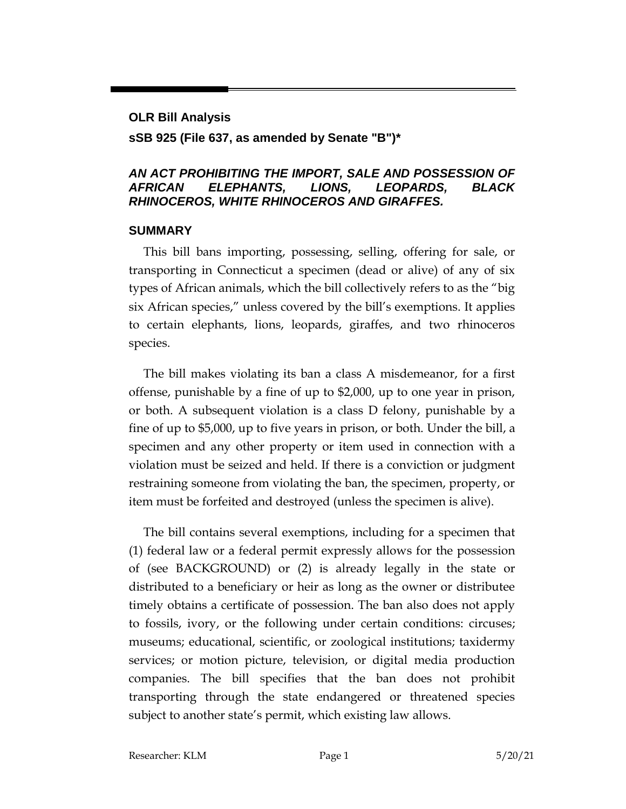# **OLR Bill Analysis sSB 925 (File 637, as amended by Senate "B")\***

#### *AN ACT PROHIBITING THE IMPORT, SALE AND POSSESSION OF AFRICAN ELEPHANTS, LIONS, LEOPARDS, BLACK RHINOCEROS, WHITE RHINOCEROS AND GIRAFFES.*

#### **SUMMARY**

This bill bans importing, possessing, selling, offering for sale, or transporting in Connecticut a specimen (dead or alive) of any of six types of African animals, which the bill collectively refers to as the "big six African species," unless covered by the bill's exemptions. It applies to certain elephants, lions, leopards, giraffes, and two rhinoceros species.

The bill makes violating its ban a class A misdemeanor, for a first offense, punishable by a fine of up to \$2,000, up to one year in prison, or both. A subsequent violation is a class D felony, punishable by a fine of up to \$5,000, up to five years in prison, or both. Under the bill, a specimen and any other property or item used in connection with a violation must be seized and held. If there is a conviction or judgment restraining someone from violating the ban, the specimen, property, or item must be forfeited and destroyed (unless the specimen is alive).

The bill contains several exemptions, including for a specimen that (1) federal law or a federal permit expressly allows for the possession of (see BACKGROUND) or (2) is already legally in the state or distributed to a beneficiary or heir as long as the owner or distributee timely obtains a certificate of possession. The ban also does not apply to fossils, ivory, or the following under certain conditions: circuses; museums; educational, scientific, or zoological institutions; taxidermy services; or motion picture, television, or digital media production companies. The bill specifies that the ban does not prohibit transporting through the state endangered or threatened species subject to another state's permit, which existing law allows.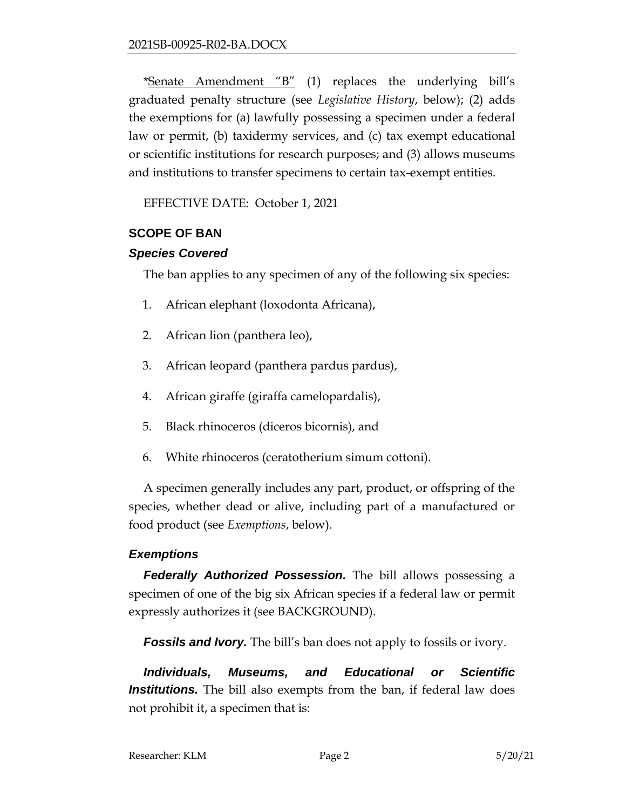\*Senate Amendment "B" (1) replaces the underlying bill's graduated penalty structure (see *Legislative History*, below); (2) adds the exemptions for (a) lawfully possessing a specimen under a federal law or permit, (b) taxidermy services, and (c) tax exempt educational or scientific institutions for research purposes; and (3) allows museums and institutions to transfer specimens to certain tax-exempt entities.

EFFECTIVE DATE: October 1, 2021

#### **SCOPE OF BAN**

#### *Species Covered*

The ban applies to any specimen of any of the following six species:

- 1. African elephant (loxodonta Africana),
- 2. African lion (panthera leo),
- 3. African leopard (panthera pardus pardus),
- 4. African giraffe (giraffa camelopardalis),
- 5. Black rhinoceros (diceros bicornis), and
- 6. White rhinoceros (ceratotherium simum cottoni).

A specimen generally includes any part, product, or offspring of the species, whether dead or alive, including part of a manufactured or food product (see *Exemptions*, below).

### *Exemptions*

*Federally Authorized Possession.* The bill allows possessing a specimen of one of the big six African species if a federal law or permit expressly authorizes it (see BACKGROUND).

**Fossils and Ivory.** The bill's ban does not apply to fossils or ivory.

*Individuals, Museums, and Educational or Scientific Institutions.* The bill also exempts from the ban, if federal law does not prohibit it, a specimen that is: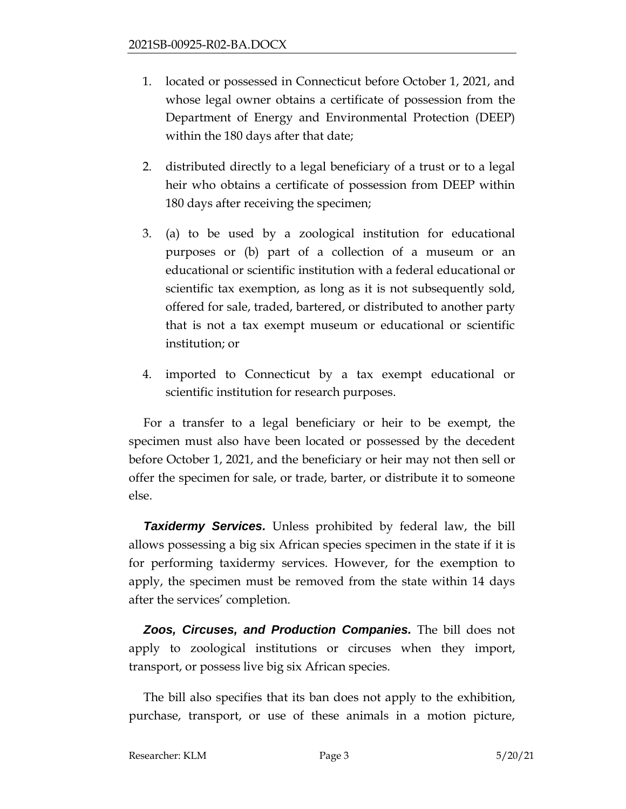- 1. located or possessed in Connecticut before October 1, 2021, and whose legal owner obtains a certificate of possession from the Department of Energy and Environmental Protection (DEEP) within the 180 days after that date;
- 2. distributed directly to a legal beneficiary of a trust or to a legal heir who obtains a certificate of possession from DEEP within 180 days after receiving the specimen;
- 3. (a) to be used by a zoological institution for educational purposes or (b) part of a collection of a museum or an educational or scientific institution with a federal educational or scientific tax exemption, as long as it is not subsequently sold, offered for sale, traded, bartered, or distributed to another party that is not a tax exempt museum or educational or scientific institution; or
- 4. imported to Connecticut by a tax exempt educational or scientific institution for research purposes.

For a transfer to a legal beneficiary or heir to be exempt, the specimen must also have been located or possessed by the decedent before October 1, 2021, and the beneficiary or heir may not then sell or offer the specimen for sale, or trade, barter, or distribute it to someone else.

*Taxidermy Services.* Unless prohibited by federal law, the bill allows possessing a big six African species specimen in the state if it is for performing taxidermy services. However, for the exemption to apply, the specimen must be removed from the state within 14 days after the services' completion.

*Zoos, Circuses, and Production Companies.* The bill does not apply to zoological institutions or circuses when they import, transport, or possess live big six African species.

The bill also specifies that its ban does not apply to the exhibition, purchase, transport, or use of these animals in a motion picture,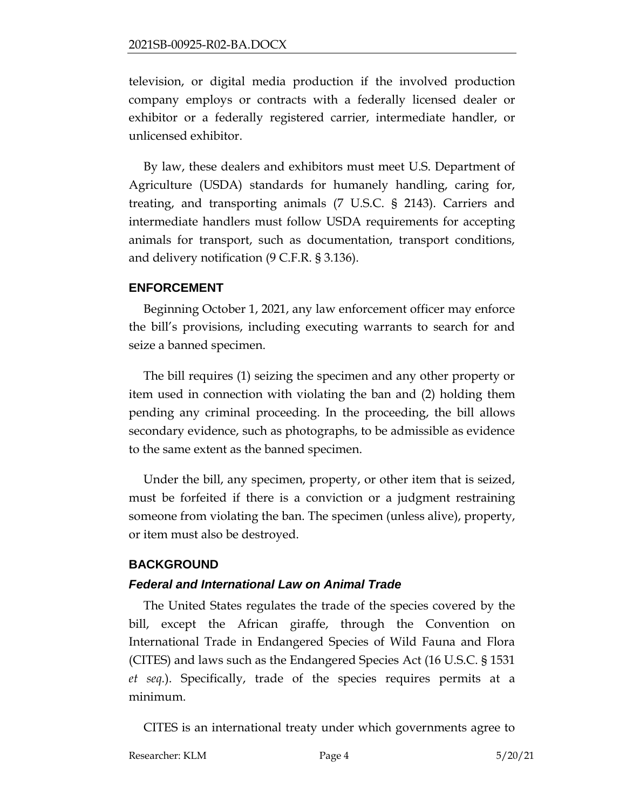television, or digital media production if the involved production company employs or contracts with a federally licensed dealer or exhibitor or a federally registered carrier, intermediate handler, or unlicensed exhibitor.

By law, these dealers and exhibitors must meet U.S. Department of Agriculture (USDA) standards for humanely handling, caring for, treating, and transporting animals (7 U.S.C. § 2143). Carriers and intermediate handlers must follow USDA requirements for accepting animals for transport, such as documentation, transport conditions, and delivery notification (9 C.F.R. § 3.136).

#### **ENFORCEMENT**

Beginning October 1, 2021, any law enforcement officer may enforce the bill's provisions, including executing warrants to search for and seize a banned specimen.

The bill requires (1) seizing the specimen and any other property or item used in connection with violating the ban and (2) holding them pending any criminal proceeding. In the proceeding, the bill allows secondary evidence, such as photographs, to be admissible as evidence to the same extent as the banned specimen.

Under the bill, any specimen, property, or other item that is seized, must be forfeited if there is a conviction or a judgment restraining someone from violating the ban. The specimen (unless alive), property, or item must also be destroyed.

#### **BACKGROUND**

#### *Federal and International Law on Animal Trade*

The United States regulates the trade of the species covered by the bill, except the African giraffe, through the Convention on International Trade in Endangered Species of Wild Fauna and Flora (CITES) and laws such as the Endangered Species Act (16 U.S.C. § 1531 *et seq.*). Specifically, trade of the species requires permits at a minimum.

CITES is an international treaty under which governments agree to